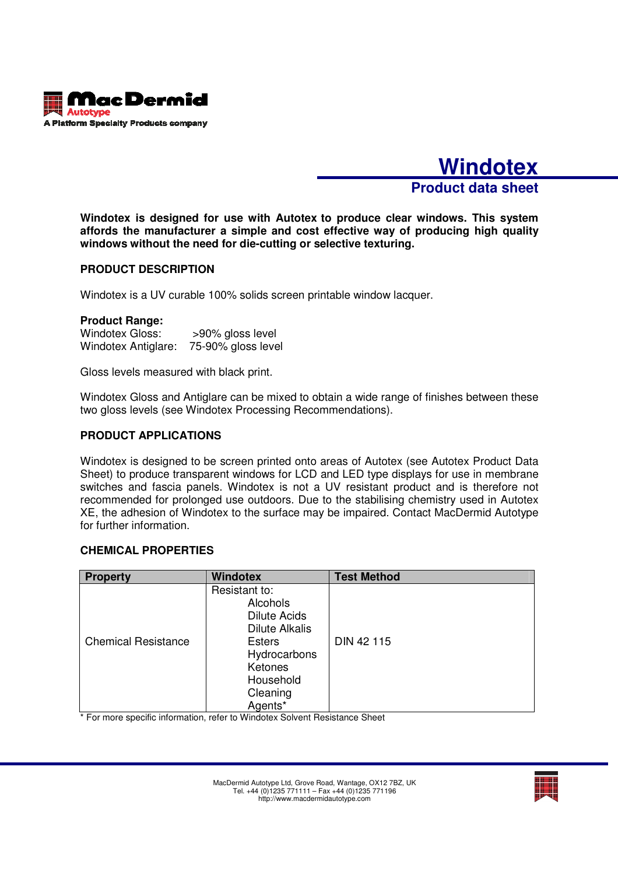

**Windotex Product data sheet**

**Windotex is designed for use with Autotex to produce clear windows. This system affords the manufacturer a simple and cost effective way of producing high quality windows without the need for die-cutting or selective texturing.** 

# **PRODUCT DESCRIPTION**

Windotex is a UV curable 100% solids screen printable window lacquer.

#### **Product Range:**

Windotex Gloss: >90% gloss level Windotex Antiglare: 75-90% gloss level

Gloss levels measured with black print.

Windotex Gloss and Antiglare can be mixed to obtain a wide range of finishes between these two gloss levels (see Windotex Processing Recommendations).

### **PRODUCT APPLICATIONS**

Windotex is designed to be screen printed onto areas of Autotex (see Autotex Product Data Sheet) to produce transparent windows for LCD and LED type displays for use in membrane switches and fascia panels. Windotex is not a UV resistant product and is therefore not recommended for prolonged use outdoors. Due to the stabilising chemistry used in Autotex XE, the adhesion of Windotex to the surface may be impaired. Contact MacDermid Autotype for further information.

## **CHEMICAL PROPERTIES**

| <b>Property</b>            | <b>Windotex</b>                                                                                                                                           | <b>Test Method</b> |
|----------------------------|-----------------------------------------------------------------------------------------------------------------------------------------------------------|--------------------|
| <b>Chemical Resistance</b> | Resistant to:<br>Alcohols<br><b>Dilute Acids</b><br><b>Dilute Alkalis</b><br><b>Esters</b><br>Hydrocarbons<br>Ketones<br>Household<br>Cleaning<br>Agents* | DIN 42 115         |

\* For more specific information, refer to Windotex Solvent Resistance Sheet

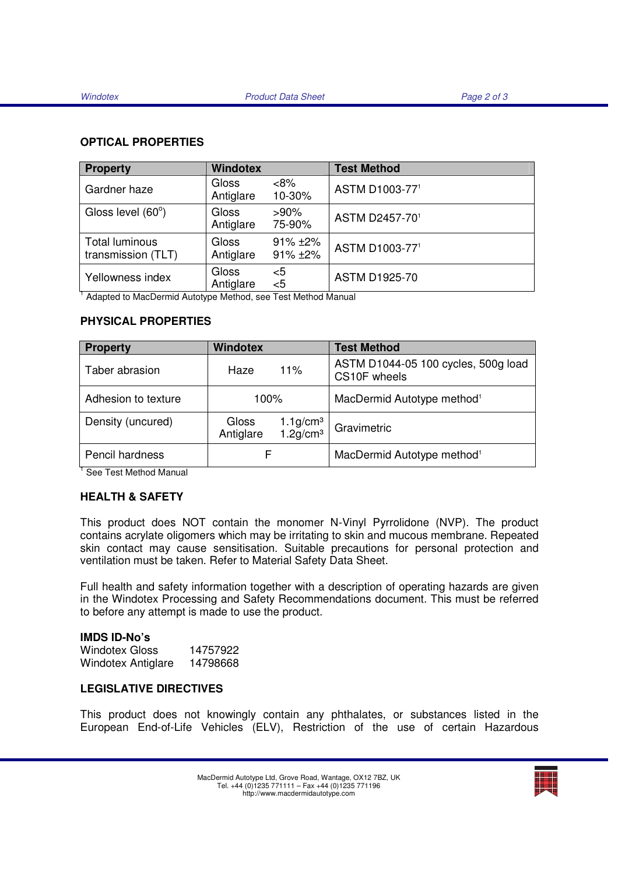## **OPTICAL PROPERTIES**

| <b>Property</b>                             | <b>Windotex</b>           |                              | <b>Test Method</b>   |
|---------------------------------------------|---------------------------|------------------------------|----------------------|
| Gardner haze                                | <b>Gloss</b><br>Antiglare | <8%<br>10-30%                | ASTM D1003-771       |
| Gloss level (60°)                           | <b>Gloss</b><br>Antiglare | $>90\%$<br>75-90%            | ASTM D2457-701       |
| <b>Total luminous</b><br>transmission (TLT) | <b>Gloss</b><br>Antiglare | $91\% + 2\%$<br>$91\% + 2\%$ | ASTM D1003-771       |
| Yellowness index                            | Gloss<br>Antiglare        | $5$<br>< 5                   | <b>ASTM D1925-70</b> |

<sup>1</sup> Adapted to MacDermid Autotype Method, see Test Method Manual

# **PHYSICAL PROPERTIES**

| <b>Property</b>     | <b>Windotex</b>    |                                                 | <b>Test Method</b>                                  |
|---------------------|--------------------|-------------------------------------------------|-----------------------------------------------------|
| Taber abrasion      | Haze               | 11%                                             | ASTM D1044-05 100 cycles, 500g load<br>CS10F wheels |
| Adhesion to texture | 100%               |                                                 | MacDermid Autotype method <sup>1</sup>              |
| Density (uncured)   | Gloss<br>Antiglare | $1.1$ g/cm <sup>3</sup><br>1.2g/cm <sup>3</sup> | Gravimetric                                         |
| Pencil hardness     | F                  |                                                 | MacDermid Autotype method <sup>1</sup>              |

<sup>1</sup> See Test Method Manual

## **HEALTH & SAFETY**

This product does NOT contain the monomer N-Vinyl Pyrrolidone (NVP). The product contains acrylate oligomers which may be irritating to skin and mucous membrane. Repeated skin contact may cause sensitisation. Suitable precautions for personal protection and ventilation must be taken. Refer to Material Safety Data Sheet.

Full health and safety information together with a description of operating hazards are given in the Windotex Processing and Safety Recommendations document. This must be referred to before any attempt is made to use the product.

## **IMDS ID-No's**

Windotex Gloss 14757922 Windotex Antiglare 14798668

## **LEGISLATIVE DIRECTIVES**

This product does not knowingly contain any phthalates, or substances listed in the European End-of-Life Vehicles (ELV), Restriction of the use of certain Hazardous